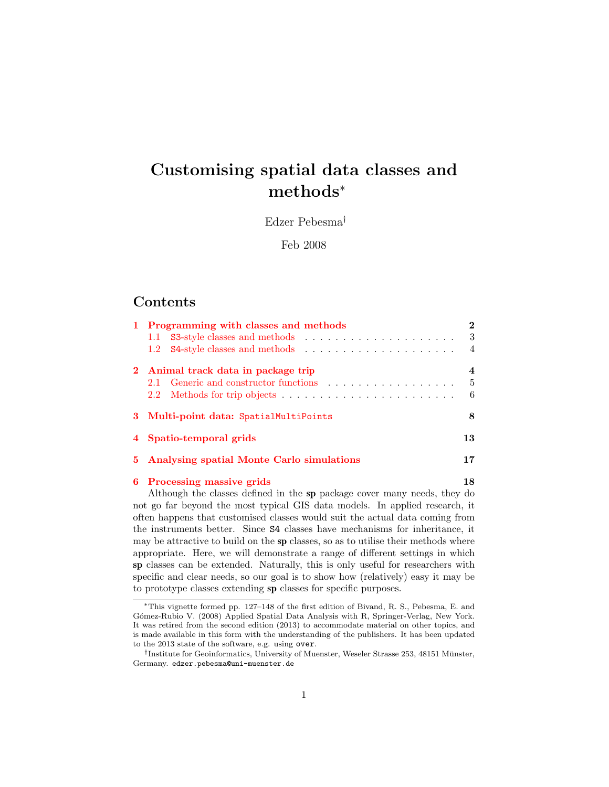# Customising spatial data classes and methods<sup>∗</sup>

Edzer Pebesma†

Feb 2008

## **Contents**

|  | 1 Programming with classes and methods      |     |  |  |  |
|--|---------------------------------------------|-----|--|--|--|
|  |                                             | - 3 |  |  |  |
|  |                                             |     |  |  |  |
|  | 2 Animal track data in package trip         |     |  |  |  |
|  |                                             | - 5 |  |  |  |
|  |                                             | - 6 |  |  |  |
|  | 3 Multi-point data: SpatialMultiPoints      |     |  |  |  |
|  | 4 Spatio-temporal grids                     |     |  |  |  |
|  | 5 Analysing spatial Monte Carlo simulations |     |  |  |  |
|  | 6 Processing massive grids                  |     |  |  |  |

Although the classes defined in the sp package cover many needs, they do not go far beyond the most typical GIS data models. In applied research, it often happens that customised classes would suit the actual data coming from the instruments better. Since S4 classes have mechanisms for inheritance, it may be attractive to build on the sp classes, so as to utilise their methods where appropriate. Here, we will demonstrate a range of different settings in which sp classes can be extended. Naturally, this is only useful for researchers with specific and clear needs, so our goal is to show how (relatively) easy it may be to prototype classes extending sp classes for specific purposes.

<sup>∗</sup>This vignette formed pp. 127–148 of the first edition of Bivand, R. S., Pebesma, E. and Gómez-Rubio V. (2008) Applied Spatial Data Analysis with R, Springer-Verlag, New York. It was retired from the second edition (2013) to accommodate material on other topics, and is made available in this form with the understanding of the publishers. It has been updated to the 2013 state of the software, e.g. using over.

<sup>&</sup>lt;sup>†</sup>Institute for Geoinformatics, University of Muenster, Weseler Strasse 253, 48151 Münster, Germany. edzer.pebesma@uni-muenster.de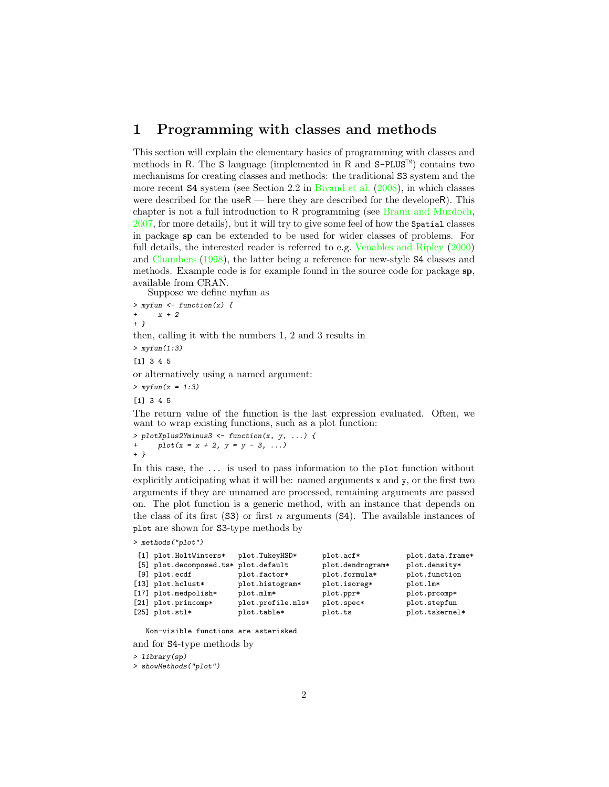## <span id="page-1-0"></span>1 Programming with classes and methods

This section will explain the elementary basics of programming with classes and methods in R. The S language (implemented in R and  $S-PLUS^{\mathbb{M}}$ ) contains two mechanisms for creating classes and methods: the traditional S3 system and the more recent S4 system (see Section 2.2 in [Bivand et al.](#page-19-0) [\(2008\)](#page-19-0), in which classes were described for the use $R$  — here they are described for the develope R). This chapter is not a full introduction to R programming (see [Braun and Murdoch,](#page-19-1) [2007,](#page-19-1) for more details), but it will try to give some feel of how the Spatial classes in package sp can be extended to be used for wider classes of problems. For full details, the interested reader is referred to e.g. [Venables and Ripley](#page-19-2) [\(2000\)](#page-19-2) and [Chambers](#page-19-3) [\(1998\)](#page-19-3), the latter being a reference for new-style S4 classes and methods. Example code is for example found in the source code for package sp, available from CRAN.

Suppose we define myfun as

 $>$  myfun  $\leftarrow$  function(x) {  $x + 2$ + } then, calling it with the numbers 1, 2 and 3 results in  $>$  myfun $(1:3)$ [1] 3 4 5 or alternatively using a named argument:  $> myfun(x = 1:3)$ [1] 3 4 5 The return value of the function is the last expression evaluated. Often, we want to wrap existing functions, such as a plot function:

> plotXplus2Yminus3 <- function(x, y, ...) {  $plot(x = x + 2, y = y - 3, ...)$ + }

In this case, the ... is used to pass information to the plot function without explicitly anticipating what it will be: named arguments x and y, or the first two arguments if they are unnamed are processed, remaining arguments are passed on. The plot function is a generic method, with an instance that depends on the class of its first  $(S3)$  or first n arguments  $(S4)$ . The available instances of plot are shown for S3-type methods by

> methods("plot")

| [1] plot.HoltWinters*                | plot.TukeyHSD*    | plot.acf*        | plot.data.frame* |
|--------------------------------------|-------------------|------------------|------------------|
| [5] plot.decomposed.ts* plot.default |                   | plot.dendrogram* | plot.density*    |
| $[9]$ plot.ecdf                      | plot.factor*      | plot.formula*    | plot.function    |
| [13] plot.hclust*                    | plot.histogram*   | plot.isoreg*     | plot.lm*         |
| [17] plot.medpolish*                 | plot.mlm*         | plot.ppr*        | plot.prcomp*     |
| [21] plot.princomp*                  | plot.profile.nls* | plot.spec*       | plot.stepfun     |
| $[25]$ plot.stl*                     | plot.table*       | plot.ts          | plot.tskernel*   |

Non-visible functions are asterisked

```
and for S4-type methods by
```
> library(sp)

> showMethods("plot")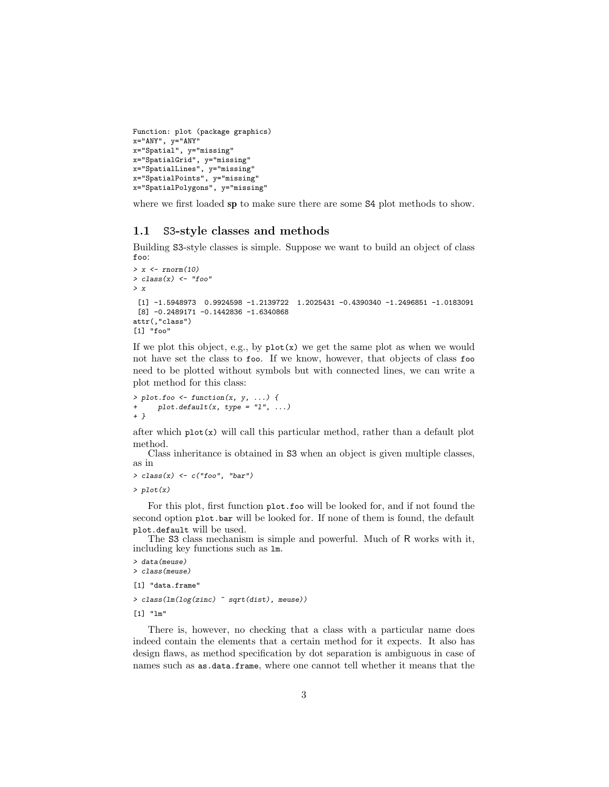```
Function: plot (package graphics)
x="ANY", y="ANY"
x="Spatial", y="missing"
x="SpatialGrid", y="missing"
x="SpatialLines", y="missing"
x="SpatialPoints", y="missing"
x="SpatialPolygons", y="missing"
```
where we first loaded sp to make sure there are some  $S4$  plot methods to show.

#### <span id="page-2-0"></span>1.1 S3-style classes and methods

Building S3-style classes is simple. Suppose we want to build an object of class foo:

```
> x < -rnorm(10)> class(x) \leftarrow "foo"
> x
 [1] -1.5948973 0.9924598 -1.2139722 1.2025431 -0.4390340 -1.2496851 -1.0183091
 [8] -0.2489171 -0.1442836 -1.6340868
attr(,"class")
[1] "foo"
```
If we plot this object, e.g., by plot(x) we get the same plot as when we would not have set the class to foo. If we know, however, that objects of class foo need to be plotted without symbols but with connected lines, we can write a plot method for this class:

```
> plot. foo \leftarrow function(x, y, ...)plot.default(x, type = "l", ...)+ }
```
after which  $plot(x)$  will call this particular method, rather than a default plot method.

Class inheritance is obtained in S3 when an object is given multiple classes, as in

```
> class(x) \leftarrow c("foo", "bar")
```
> plot(x)

For this plot, first function plot.foo will be looked for, and if not found the second option plot.bar will be looked for. If none of them is found, the default plot.default will be used.

The S3 class mechanism is simple and powerful. Much of R works with it, including key functions such as lm.

```
> data(meuse)
> class(meuse)
[1] "data.frame"
```

```
> class(lm(log(zinc) ~ sqrt(dist), meuse))
```
[1] "lm"

There is, however, no checking that a class with a particular name does indeed contain the elements that a certain method for it expects. It also has design flaws, as method specification by dot separation is ambiguous in case of names such as as.data.frame, where one cannot tell whether it means that the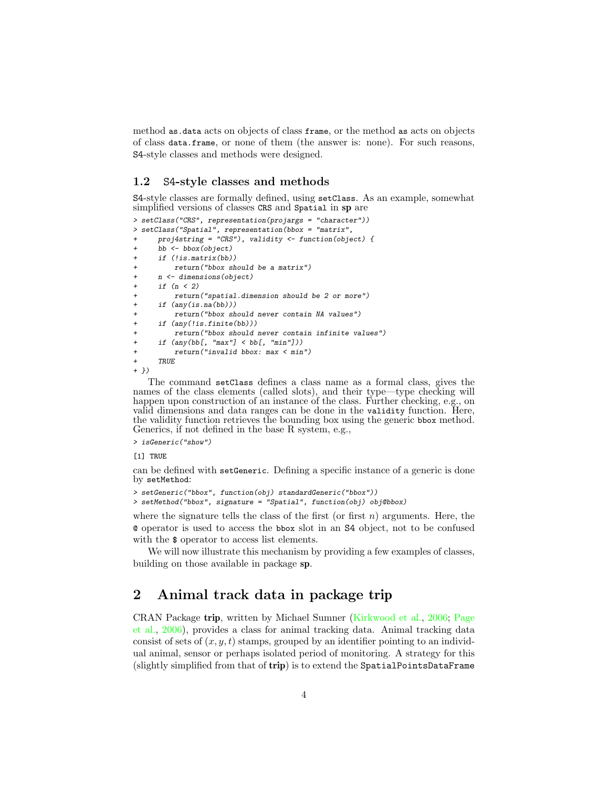method as.data acts on objects of class frame, or the method as acts on objects of class data.frame, or none of them (the answer is: none). For such reasons, S4-style classes and methods were designed.

#### <span id="page-3-0"></span>1.2 S4-style classes and methods

S4-style classes are formally defined, using setClass. As an example, somewhat simplified versions of classes CRS and Spatial in sp are

```
> setClass("CRS", representation(projargs = "character"))
> setClass("Spatial", representation(bbox = "matrix",
     proj4string = "CRS"), validity \leftarrow function(object) {
     bb \leftarrow bbox(object)+ if (!is.matrix(bb))
         return("bbox should be a matrix")+ n <- dimensions(object)
     if (n < 2)return("spatial.dimension should be 2 or more")
     if (any(is.na(bb)))return("bbox should never contain NA values")
     if (\text{any}(!is.find(bb)))return("bbox should never contain infinite values")
+ if (any(bb[, "max"] < bb[, "min"]))
+ return("invalid bbox: max < min")
+ TRUE
+ })
```
The command setClass defines a class name as a formal class, gives the names of the class elements (called slots), and their type—type checking will happen upon construction of an instance of the class. Further checking, e.g., on valid dimensions and data ranges can be done in the validity function. Here, the validity function retrieves the bounding box using the generic bbox method. Generics, if not defined in the base R system, e.g.,

> isGeneric("show")

[1] TRUE

can be defined with setGeneric. Defining a specific instance of a generic is done by setMethod:

```
> setGeneric("bbox", function(obj) standardGeneric("bbox"))
> setMethod("bbox", signature = "Spatial", function(obj) obj@bbox)
```
where the signature tells the class of the first (or first  $n$ ) arguments. Here, the @ operator is used to access the bbox slot in an S4 object, not to be confused with the  $\frac{1}{2}$  operator to access list elements.

We will now illustrate this mechanism by providing a few examples of classes, building on those available in package sp.

# <span id="page-3-1"></span>2 Animal track data in package trip

CRAN Package trip, written by Michael Sumner [\(Kirkwood et al.,](#page-19-4) [2006;](#page-19-4) [Page](#page-19-5) [et al.,](#page-19-5) [2006\)](#page-19-5), provides a class for animal tracking data. Animal tracking data consist of sets of  $(x, y, t)$  stamps, grouped by an identifier pointing to an individual animal, sensor or perhaps isolated period of monitoring. A strategy for this (slightly simplified from that of trip) is to extend the SpatialPointsDataFrame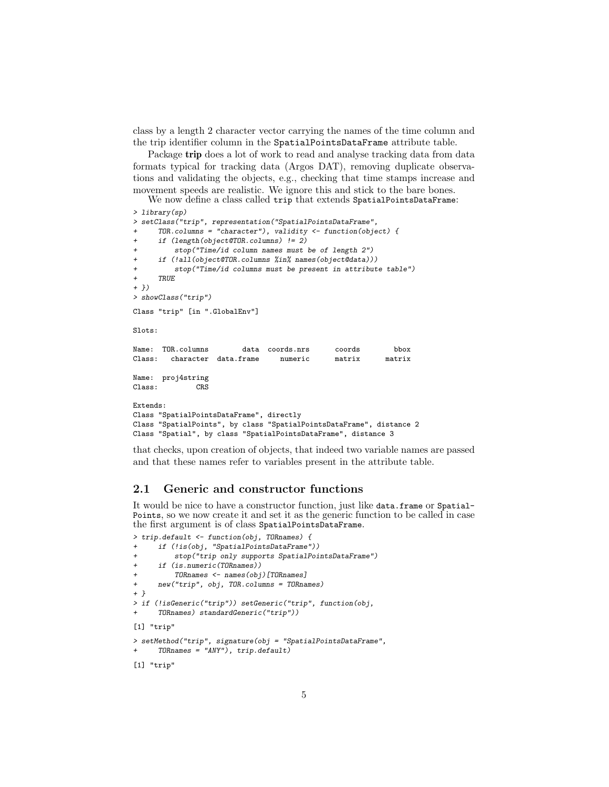class by a length 2 character vector carrying the names of the time column and the trip identifier column in the SpatialPointsDataFrame attribute table.

Package **trip** does a lot of work to read and analyse tracking data from data formats typical for tracking data (Argos DAT), removing duplicate observations and validating the objects, e.g., checking that time stamps increase and movement speeds are realistic. We ignore this and stick to the bare bones.

We now define a class called trip that extends SpatialPointsDataFrame:

```
> library(sp)
> setClass("trip", representation("SpatialPointsDataFrame",
     TOR.column = "character"), validity < - function(object) {+ if (length(object@TOR.columns) != 2)
         stop("Time/id column names must be of length 2")
     if (!all(object@TOR.columns %in% names(object@data)))
+ stop("Time/id columns must be present in attribute table")
     + TRUE
+ })
> showClass("trip")
Class "trip" [in ".GlobalEnv"]
Slots:
Name: TOR.columns data coords.nrs coords bbox
Class: character data.frame numeric matrix matrix
Name: proj4string
Class: CRS
Extends:
Class "SpatialPointsDataFrame", directly
Class "SpatialPoints", by class "SpatialPointsDataFrame", distance 2
Class "Spatial", by class "SpatialPointsDataFrame", distance 3
```
that checks, upon creation of objects, that indeed two variable names are passed and that these names refer to variables present in the attribute table.

### <span id="page-4-0"></span>2.1 Generic and constructor functions

It would be nice to have a constructor function, just like data.frame or Spatial-Points, so we now create it and set it as the generic function to be called in case the first argument is of class SpatialPointsDataFrame.

```
> trip.default <- function(obj, TORnames) {
     if (!is(obj, "SpatialPointsDataFrame"))
+ stop("trip only supports SpatialPointsDataFrame")
+ if (is.numeric(TORnames))
         TORnames <- names(obj)[TORnames]
+ new("trip", obj, TOR.columns = TORnames)
+ }
> if (!isGeneric("trip")) setGeneric("trip", function(obj,
     TORnames) standardGeneric("trip"))
[1] "trip"
> setMethod("trip", signature(obj = "SpatialPointsDataFrame",
     TORnames = "ANY"), trip.default)
```
[1] "trip"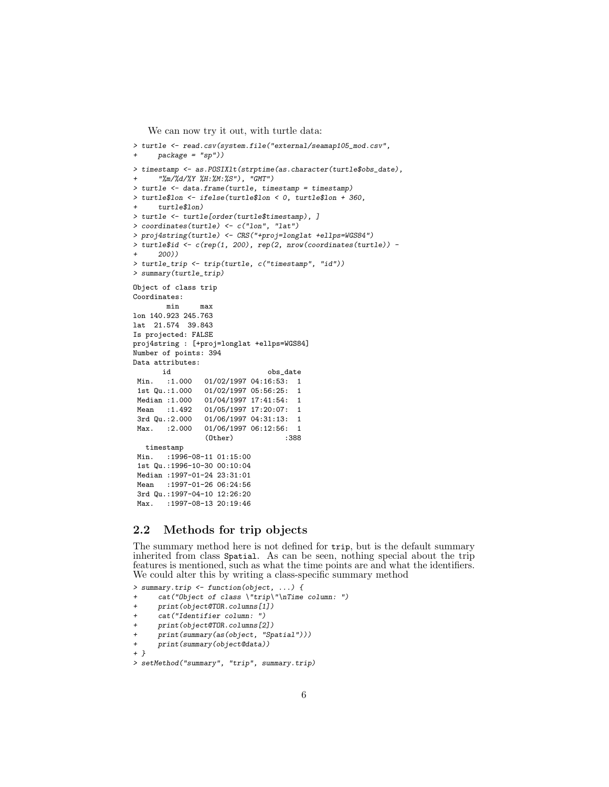We can now try it out, with turtle data:

```
> turtle <- read.csv(system.file("external/seamap105_mod.csv",
     package = "sp"))
> timestamp <- as.POSIXlt(strptime(as.character(turtle$obs_date),
      + "%m/%d/%Y %H:%M:%S"), "GMT")
> turtle <- data.frame(turtle, timestamp = timestamp)
> turtle$lon \leq if<br>else(turtle$lon \leq 0, turtle$lon + 360,
     turtle$lon)
> turtle <- turtle[order(turtle$timestamp), ]
> coordinates(turtle) <- c("lon", "lat")
> proj4string(turtle) <- CRS("+proj=longlat +ellps=WGS84")
> turtle$id <- c(rep(1, 200), rep(2, nrow(coordinates(turtle)) -
      + 200))
> turtle_trip <- trip(turtle, c("timestamp", "id"))
> summary(turtle_trip)
Object of class trip
Coordinates:
        min max
lon 140.923 245.763
lat 21.574 39.843
Is projected: FALSE
proj4string : [+proj=longlat +ellps=WGS84]
Number of points: 394
Data attributes:
       id obs_date
Min. :1.000  01/02/1997  04:16:53:  1
 1st Qu.:1.000 01/02/1997 05:56:25: 1
Median :1.000 01/04/1997 17:41:54: 1<br>Mean :1.492 01/05/1997 17:20:07: 1
                01/05/1997 17:20:07: 1
3rd Qu.:2.000 01/06/1997 04:31:13: 1
Max. :2.000 01/06/1997 06:12:56: 1
                 (0ther)timestamp
Min. : 1996-08-11 01:15:00
1st Qu.:1996-10-30 00:10:04
Median :1997-01-24 23:31:01
Mean : 1997-01-26 06:24:56
3rd Qu.:1997-04-10 12:26:20
       Max. :1997-08-13 20:19:46
```
#### <span id="page-5-0"></span>2.2 Methods for trip objects

The summary method here is not defined for trip, but is the default summary inherited from class Spatial. As can be seen, nothing special about the trip features is mentioned, such as what the time points are and what the identifiers. We could alter this by writing a class-specific summary method

```
> summary.trip <- function(object, ...) {
      cat("Object of class \l{ "trip}\l{''\nTime column: "})print(object@TOR.columns[1])
+ cat("Identifier column: ")
+ print(object@TOR.columns[2])
+ print(summary(as(object, "Spatial")))
+ print(summary(object@data))
+ }
> setMethod("summary", "trip", summary.trip)
```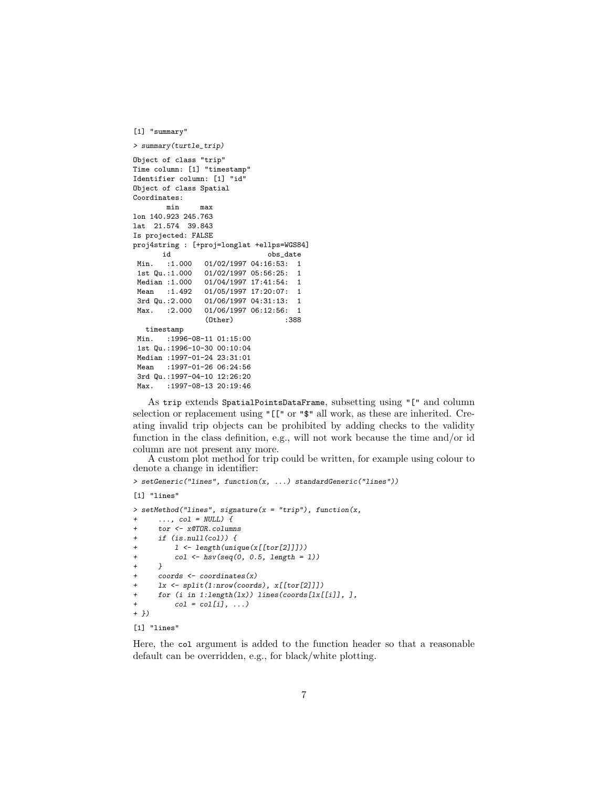```
[1] "summary"
> summary(turtle_trip)
Object of class "trip"
Time column: [1] "timestamp"
Identifier column: [1] "id"
Object of class Spatial
Coordinates:
      min max
lon 140.923 245.763
lat 21.574 39.843
Is projected: FALSE
proj4string : [+proj=longlat +ellps=WGS84]
      id obs_date
 Min. :1.000 01/02/1997 04:16:53: 1
1st Qu.:1.000 01/02/1997 05:56:25: 1
Median :1.000 01/04/1997 17:41:54: 1
Mean :1.492 01/05/1997 17:20:07: 1
3rd Qu.:2.000 01/06/1997 04:31:13: 1
Max. : 2.000 01/06/1997 06:12:56: 1
               (Other) :388
  timestamp
Min. :1996-08-11 01:15:00
1st Qu.:1996-10-30 00:10:04
Median :1997-01-24 23:31:01
Mean : 1997-01-26 06:24:56
3rd Qu.:1997-04-10 12:26:20
Max. : 1997-08-13 20:19:46
```
As trip extends SpatialPointsDataFrame, subsetting using "[" and column selection or replacement using "[[" or "\$" all work, as these are inherited. Creating invalid trip objects can be prohibited by adding checks to the validity function in the class definition, e.g., will not work because the time and/or id column are not present any more.

A custom plot method for trip could be written, for example using colour to denote a change in identifier:

```
> setGeneric("lines", function(x, ...) standardGeneric("lines"))
[1] "lines"
> setMethod("lines", signature(x = "trip"), function(x,
      \ldots, col = NULL) {
      tor <- x@TOR.columns
      if (is.null(col)) {
+ l <- length(unique(x[[tor[2]]]))
+ col <- hsv(seq(0, 0.5, length = l))
+ }
+ coords <- coordinates(x)
      lx \leftarrow split(1:nvw(coords), x[[tor[2]]])+ for (i in 1:length(lx)) lines(coords[lx[[i]], ], \overline{c} col = col[i], ...)
          col = col[i], ...+ })
```

```
[1] "lines"
```
Here, the col argument is added to the function header so that a reasonable default can be overridden, e.g., for black/white plotting.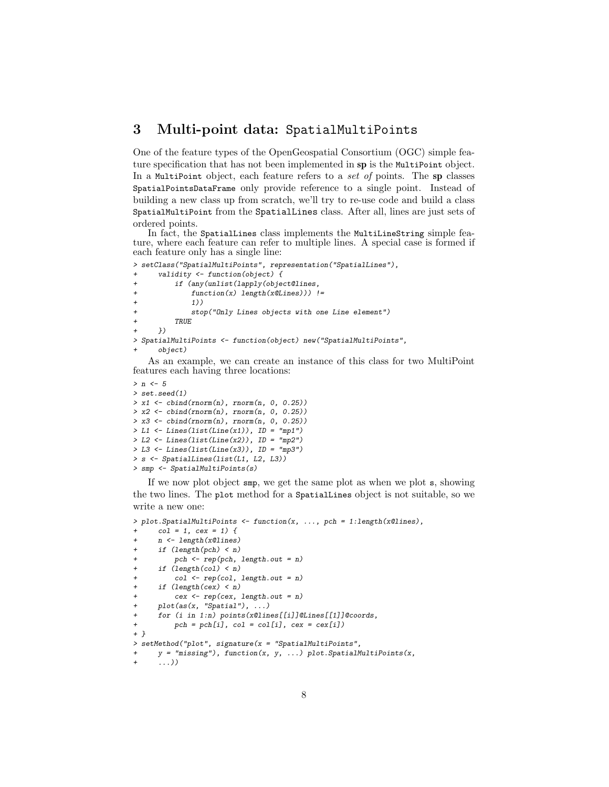## <span id="page-7-0"></span>3 Multi-point data: SpatialMultiPoints

One of the feature types of the OpenGeospatial Consortium (OGC) simple feature specification that has not been implemented in sp is the MultiPoint object. In a MultiPoint object, each feature refers to a set of points. The sp classes SpatialPointsDataFrame only provide reference to a single point. Instead of building a new class up from scratch, we'll try to re-use code and build a class SpatialMultiPoint from the SpatialLines class. After all, lines are just sets of ordered points.

In fact, the SpatialLines class implements the MultiLineString simple feature, where each feature can refer to multiple lines. A special case is formed if each feature only has a single line:

```
> setClass("SpatialMultiPoints", representation("SpatialLines"),
     validity <- function(object) {
+ if (any(unlist(lapply(object@lines,
             function(x) length(x@Lines))) !=
             1)stop("Only Lines objects with one Line element")
+ TRUE
     )> SpatialMultiPoints <- function(object) new("SpatialMultiPoints",
     object)
```
As an example, we can create an instance of this class for two MultiPoint features each having three locations:

```
> n \lt - 5> set.seed(1)
> x1 \leftarrow \text{cbind}(rnorm(n), rnorm(n, 0, 0.25))> x2 \leftarrow \text{cbind}(rnorm(n), rnorm(n, 0, 0.25))> x3 < - \text{cbind}(rnorm(n), rnorm(n, 0, 0.25))> L1 <- Lines(list(Line(x1)), ID = "mp1")
> L2 <- Lines(list(Line(x2)), ID = "mp2")
> L3 <- Lines(list(Line(x3)), ID = "mp3")
> s <- SpatialLines(list(L1, L2, L3))
> smp <- SpatialMultiPoints(s)
```
If we now plot object smp, we get the same plot as when we plot s, showing the two lines. The plot method for a SpatialLines object is not suitable, so we write a new one:

```
> plot.SpatialMultiPoints <- function(x, ..., pch = 1:length(x@lines),
     col = 1, cex = 1) {
     n <- length(x@lines)
+ if (length(pch) < n)
         pch \leftarrow rep(pch, length.out = n)if (length(col) < n)col \leftarrow rep(col, length.out = n)if (length(cex) < n)cex < - rep(cex, length.out = n)plot(as(x, "Spatial"), ...)+ for (i in 1:n) points(x@lines[[i]]@Lines[[1]]@coords,
+ pch = pch[i], col = col[i], cex = cex[i])
+ }
> setMethod("plot", signature(x = "SpatialMultiPoints",
     y = "missing"), function(x, y, ...) plot.SpatialMultiPoints(x,
+ ...))
```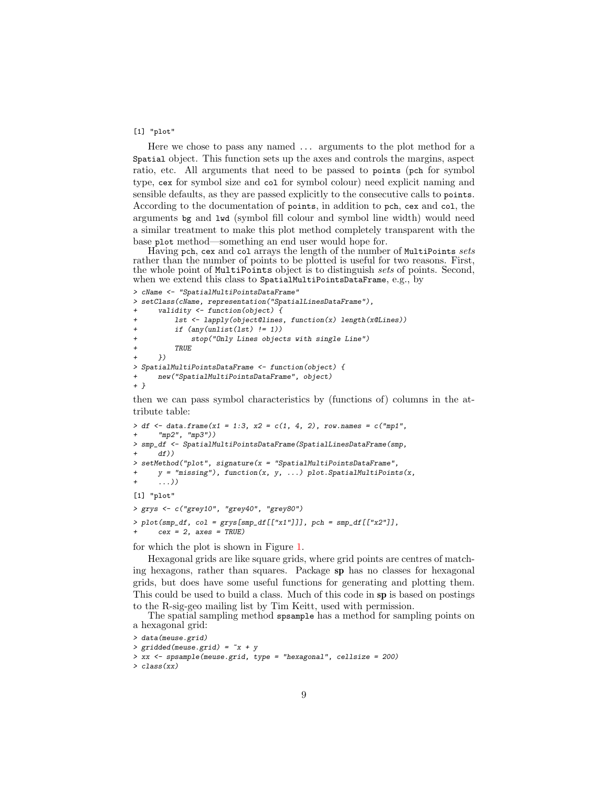#### [1] "plot"

Here we chose to pass any named ... arguments to the plot method for a Spatial object. This function sets up the axes and controls the margins, aspect ratio, etc. All arguments that need to be passed to points (pch for symbol type, cex for symbol size and col for symbol colour) need explicit naming and sensible defaults, as they are passed explicitly to the consecutive calls to points. According to the documentation of points, in addition to pch, cex and col, the arguments bg and lwd (symbol fill colour and symbol line width) would need a similar treatment to make this plot method completely transparent with the base plot method—something an end user would hope for.

Having pch, cex and col arrays the length of the number of MultiPoints sets rather than the number of points to be plotted is useful for two reasons. First, the whole point of MultiPoints object is to distinguish sets of points. Second, when we extend this class to SpatialMultiPointsDataFrame, e.g., by

```
> cName <- "SpatialMultiPointsDataFrame"
> setClass(cName, representation("SpatialLinesDataFrame"),
      validity \leftarrow function(object) {
          1st <- lapply(object@lines, function(x) length(x@Lines))
+ if (any(unlist(lst) != 1))
              stop("Only Lines objects with single Line")
          TRUE
      )> SpatialMultiPointsDataFrame <- function(object) {
+ new("SpatialMultiPointsDataFrame", object)
+ }
```
then we can pass symbol characteristics by (functions of) columns in the attribute table:

```
> df <- data.frame(x1 = 1:3, x2 = c(1, 4, 2), row.names = c("mp1",
      "mp2", "mp3"))
> smp_df <- SpatialMultiPointsDataFrame(SpatialLinesDataFrame(smp,
      df))
> setMethod("plot", signature(x = "SpatialMultiPointsDataFrame",
      y = "missing"), function(x, y, ...) plot.SpatialMultiPoints(x,
      \ldots)
[1] "plot"
> grys <- c("grey10", "grey40", "grey80")
> plot(smp_d f, col = grys[smp_d f[[''x1'']]], pch = smp_d f[[''x2'']],
```
for which the plot is shown in Figure [1.](#page-9-0)

 $cex = 2$ ,  $axes = TRUE$ )

Hexagonal grids are like square grids, where grid points are centres of matching hexagons, rather than squares. Package sp has no classes for hexagonal grids, but does have some useful functions for generating and plotting them. This could be used to build a class. Much of this code in sp is based on postings to the R-sig-geo mailing list by Tim Keitt, used with permission.

The spatial sampling method spsample has a method for sampling points on a hexagonal grid:

```
> data(meuse.grid)
> gridded(meuse.grid) = x + y> xx <- spsample(meuse.grid, type = "hexagonal", cellsize = 200)
> class(xx)
```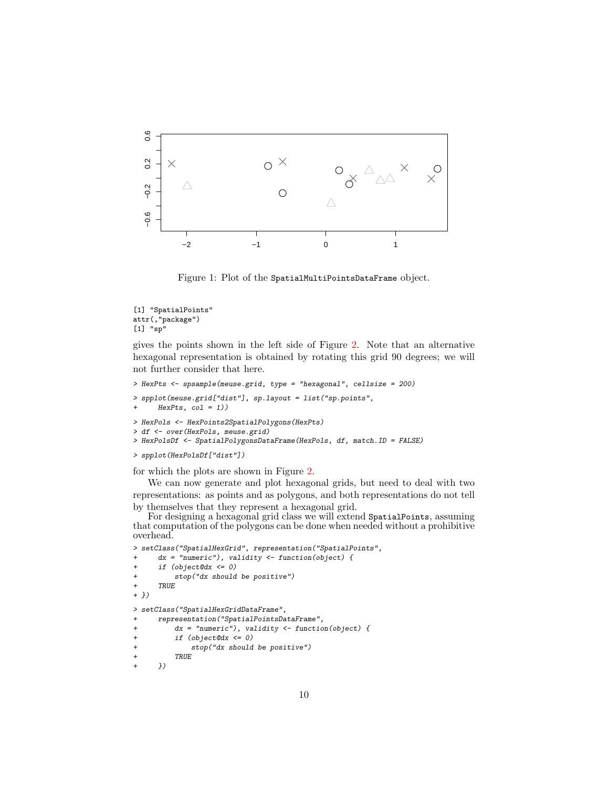

<span id="page-9-0"></span>Figure 1: Plot of the SpatialMultiPointsDataFrame object.

```
[1] "SpatialPoints"
attr(,"package")
[1] "sp"
```
gives the points shown in the left side of Figure [2.](#page-10-0) Note that an alternative hexagonal representation is obtained by rotating this grid 90 degrees; we will not further consider that here.

```
> HexPts <- spsample(meuse.grid, type = "hexagonal", cellsize = 200)
> spplot(meuse.grid["dist"], sp.layout = list("sp.points",
     HexPts, col = 1))
> HexPols <- HexPoints2SpatialPolygons(HexPts)
> df <- over(HexPols, meuse.grid)
> HexPolsDf <- SpatialPolygonsDataFrame(HexPols, df, match.ID = FALSE)
> spplot(HexPolsDf["dist"])
```
for which the plots are shown in Figure [2.](#page-10-0)

We can now generate and plot hexagonal grids, but need to deal with two representations: as points and as polygons, and both representations do not tell by themselves that they represent a hexagonal grid.

For designing a hexagonal grid class we will extend SpatialPoints, assuming that computation of the polygons can be done when needed without a prohibitive overhead.

```
> setClass("SpatialHexGrid", representation("SpatialPoints",
     dx = "numeric"), validity \leftarrow function(object) {
+ if (object@dx <= 0)
+ stop("dx should be positive")
+ TRUE
+ })
> setClass("SpatialHexGridDataFrame",
+ representation("SpatialPointsDataFrame",
+ dx = "numeric"), validity <- function(object) {
         if (object@dx \le 0)+ stop("dx should be positive")
+ TRUE<br>+ })
```

```
+ })
```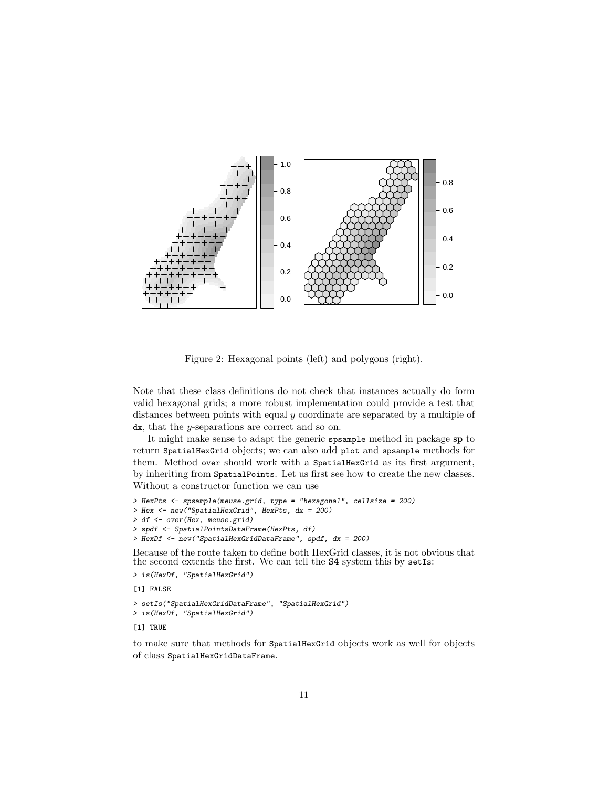

<span id="page-10-0"></span>Figure 2: Hexagonal points (left) and polygons (right).

Note that these class definitions do not check that instances actually do form valid hexagonal grids; a more robust implementation could provide a test that distances between points with equal y coordinate are separated by a multiple of dx, that the y-separations are correct and so on.

It might make sense to adapt the generic spsample method in package sp to return SpatialHexGrid objects; we can also add plot and spsample methods for them. Method over should work with a SpatialHexGrid as its first argument, by inheriting from SpatialPoints. Let us first see how to create the new classes. Without a constructor function we can use

```
> HexPts <- spsample(meuse.grid, type = "hexagonal", cellsize = 200)
> Hex <- new("SpatialHexGrid", HexPts, dx = 200)
> df <- over(Hex, meuse.grid)
> spdf <- SpatialPointsDataFrame(HexPts, df)
> HexDf <- new("SpatialHexGridDataFrame", spdf, dx = 200)
```
Because of the route taken to define both HexGrid classes, it is not obvious that the second extends the first. We can tell the S4 system this by setIs:

```
> is(HexDf, "SpatialHexGrid")
[1] FALSE
> setIs("SpatialHexGridDataFrame", "SpatialHexGrid")
> is(HexDf, "SpatialHexGrid")
```
[1] TRUE

to make sure that methods for SpatialHexGrid objects work as well for objects of class SpatialHexGridDataFrame.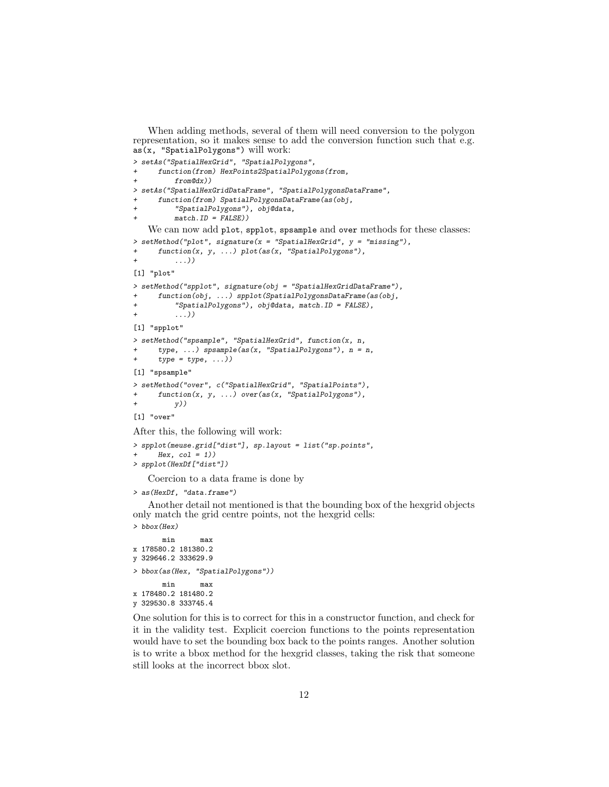When adding methods, several of them will need conversion to the polygon representation, so it makes sense to add the conversion function such that e.g. as(x, "SpatialPolygons") will work:

```
> setAs("SpatialHexGrid", "SpatialPolygons",
      function(from) HexPoints2SpatialPolygons(from,
          from@dx))
> setAs("SpatialHexGridDataFrame", "SpatialPolygonsDataFrame",
      function(from) SpatialPolygonsDataFrame(as(obj,
          "SpatialPolygons"), obj@data,
          match.ID = FALSE))
   We can now add plot, spplot, spsample and over methods for these classes:
\geq setMethod("plot", signature(x = "SpatialHexGrid", y = "missing"),
      function(x, y, ...) plot(as(x, "SpatialPolygons"),\ldots)
[1] "plot"
> setMethod("spplot", signature(obj = "SpatialHexGridDataFrame"),
      + function(obj, ...) spplot(SpatialPolygonsDataFrame(as(obj,
          "SpatialPolygons"), obj@data, match.ID = FALSE),
          \ldots))
[1] "spplot"
> setMethod("spsample", "SpatialHexGrid", function(x, n,
      type, \ldots) spsample(as(x, "SpatialPolygons"), n = n,
      type = type, \dots))
[1] "spsample"
> setMethod("over", c("SpatialHexGrid", "SpatialPoints"),
      function(x, y, ...) over(as(x, "SpatialPolygons"),+ (y))
[1] "over"
```
After this, the following will work:

```
> spplot(meuse.grid["dist"], sp.layout = list("sp.points",
      Hex, col = 1))
> spplot(HexDf["dist"])
```
Coercion to a data frame is done by

```
> as(HexDf, "data.frame")
```
Another detail not mentioned is that the bounding box of the hexgrid objects only match the grid centre points, not the hexgrid cells:

```
> bbox(Hex)
      min max
x 178580.2 181380.2
y 329646.2 333629.9
> bbox(as(Hex, "SpatialPolygons"))
      min max
x 178480.2 181480.2
y 329530.8 333745.4
```
One solution for this is to correct for this in a constructor function, and check for it in the validity test. Explicit coercion functions to the points representation would have to set the bounding box back to the points ranges. Another solution is to write a bbox method for the hexgrid classes, taking the risk that someone still looks at the incorrect bbox slot.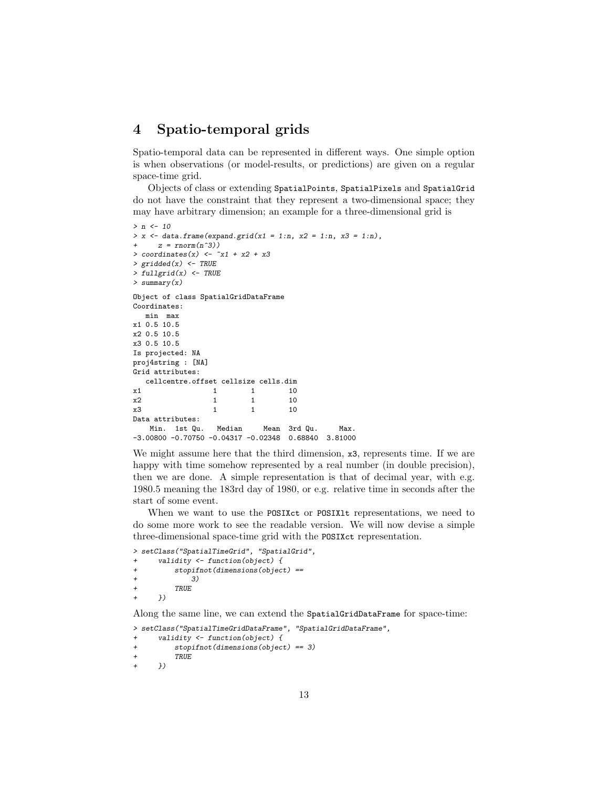## <span id="page-12-0"></span>4 Spatio-temporal grids

Spatio-temporal data can be represented in different ways. One simple option is when observations (or model-results, or predictions) are given on a regular space-time grid.

Objects of class or extending SpatialPoints, SpatialPixels and SpatialGrid do not have the constraint that they represent a two-dimensional space; they may have arbitrary dimension; an example for a three-dimensional grid is

```
> n < - 10> x \leftarrow data.frame(expand.grid(x1 = 1:n, x2 = 1:n, x3 = 1:n),
     z = rnorm(n^3)> coordinates(x) <- \tilde{x}1 + \tilde{x}2 + \tilde{x}3
> gridded(x) <- TRUE
> fullgrid(x) <- TRUE
> summary(x)
Object of class SpatialGridDataFrame
Coordinates:
  min max
x1 0.5 10.5
x2 0.5 10.5
x3 0.5 10.5
Is projected: NA
proj4string : [NA]
Grid attributes:
  cellcentre.offset cellsize cells.dim
x1 1 1 10
x2 1 1 10
x3 1 1 10
Data attributes:
   Min. 1st Qu. Median Mean 3rd Qu. Max.
-3.00800 -0.70750 -0.04317 -0.02348 0.68840 3.81000
```
We might assume here that the third dimension,  $x3$ , represents time. If we are happy with time somehow represented by a real number (in double precision), then we are done. A simple representation is that of decimal year, with e.g. 1980.5 meaning the 183rd day of 1980, or e.g. relative time in seconds after the start of some event.

When we want to use the POSIXct or POSIX1t representations, we need to do some more work to see the readable version. We will now devise a simple three-dimensional space-time grid with the POSIXct representation.

```
> setClass("SpatialTimeGrid", "SpatialGrid",
      validity \leftarrow function(object) {
          stopifnot(dimensions(object) ==+ 3)<br>+ TRIIE
          TRUE
+ })
```
Along the same line, we can extend the SpatialGridDataFrame for space-time:

```
> setClass("SpatialTimeGridDataFrame", "SpatialGridDataFrame",
      validity \leftarrow function(object) {
+ stopifnot(dimensions(object) == 3)
+ TRUE<br>+ }))
```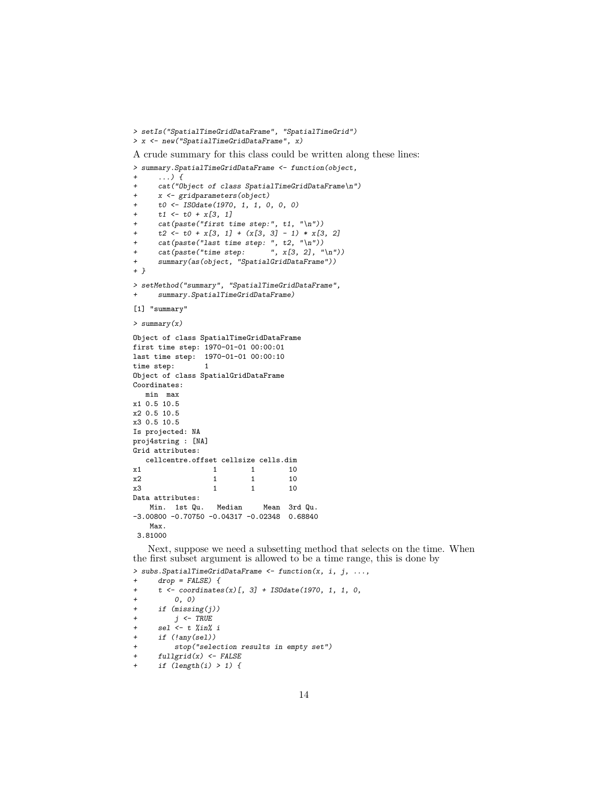> setIs("SpatialTimeGridDataFrame", "SpatialTimeGrid") > x <- new("SpatialTimeGridDataFrame", x)

A crude summary for this class could be written along these lines:

> summary.SpatialTimeGridDataFrame <- function(object,

```
+ ...) {
     cat("Object of class SpatialTimeGridDataFrame\n")
+ x <- gridparameters(object)
+ t0 <- ISOdate(1970, 1, 1, 0, 0, 0)
+ t1 \leftarrow t0 + x[3, 1]+ cat(paste("first time step:", t1, "\n"))
     t2 \leftarrow t0 + x[3, 1] + (x[3, 3] - 1) * x[3, 2]+ cat(paste("last time step: ", t2, "\n"))<br>+ cat(paste("time step: ", x[3, 2], "\n"))
+ cat(paste("time step:
+ summary(as(object, "SpatialGridDataFrame"))
+ }
> setMethod("summary", "SpatialTimeGridDataFrame",
+ summary.SpatialTimeGridDataFrame)
[1] "summary"
> summary(x)
Object of class SpatialTimeGridDataFrame
first time step: 1970-01-01 00:00:01
last time step: 1970-01-01 00:00:10
time step: 1
Object of class SpatialGridDataFrame
Coordinates:
  min max
x1 0.5 10.5
x2 0.5 10.5
x3 0.5 10.5
Is projected: NA
proj4string : [NA]
Grid attributes:
 cellcentre.offset cellsize cells.dim
x1 1 1 10
x2 1 1 10
x3 1 1 10
Data attributes:
   Min. 1st Qu. Median Mean 3rd Qu.
-3.00800 -0.70750 -0.04317 -0.02348 0.68840
   Max.
3.81000
```
Next, suppose we need a subsetting method that selects on the time. When the first subset argument is allowed to be a time range, this is done by

```
> subs. SpatialTimeGridDataFrame \leq function(x, i, j, ...,
+ drop = FALSE) {
+ t <- coordinates(x)[, 3] + ISOdate(1970, 1, 1, 0, ( + ( 0 ) 0)
         0, 0)+ if (missing(j))
+ j \leftarrow TRUE+ sel <- t %in% i
+ if (!any(sel))
+ stop("selection results in empty set")
+ fullgrid(x) <- FALSE
+ if (\text{length}(i) > 1) {
```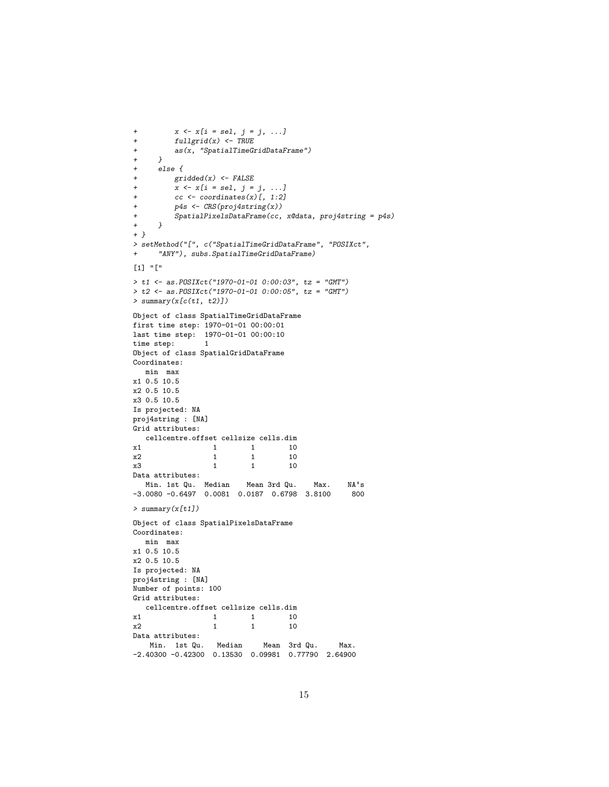```
+ x \leftarrow x[i = sel, j = j, ...]+ fullgrid(x) <- TRUE
         as(x, "SpatialTimeGridDataFrame")+ \begin{array}{cc} & + & \rightarrow \\ & + & \quad e \end{array}else {
+ gridded(x) <- FALSE
+ x \leq x[i = sel, j = j, ...]+ cc \leftarrow coordinates(x)[, 1:2]+ p4s <- CRS(proj4string(x))
     \texttt{SpatialPixelsDataFrame}(\textit{cc, x@data, proj4string = p4s}) }
++ }
> setMethod("[", c("SpatialTimeGridDataFrame", "POSIXct",
+ "ANY"), subs.SpatialTimeGridDataFrame)
[1] "["
> t1 <- as.POSIXct("1970-01-01 0:00:03", tz = "GMT")
> t2 <- as.POSIXct("1970-01-01 0:00:05", tz = "GMT")
> summary(x[c(t1, t2)])
Object of class SpatialTimeGridDataFrame
first time step: 1970-01-01 00:00:01
last time step: 1970-01-01 00:00:10
time step: 1
Object of class SpatialGridDataFrame
Coordinates:
  min max
x1 0.5 10.5
x2 0.5 10.5
x3 0.5 10.5
Is projected: NA
proj4string : [NA]
Grid attributes:
  cellcentre.offset cellsize cells.dim
x1 x2 x2 x3 x4 x2 x5 x6 x7 x8 x9 x1 x1 x10x2 1 1 10
x3 1 1 10
Data attributes:
  Min. 1st Qu. Median Mean 3rd Qu. Max. NA's
-3.0080 -0.6497 0.0081 0.0187 0.6798 3.8100 800
> summary(x[t1])
Object of class SpatialPixelsDataFrame
Coordinates:
  min max
x1 0.5 10.5
x2 0.5 10.5
Is projected: NA
proj4string : [NA]
Number of points: 100
Grid attributes:
cellcentre.offset cellsize cells.dim
              1 1 10
x2 1 1 10
Data attributes:
   Min. 1st Qu. Median Mean 3rd Qu. Max.
-2.40300 -0.42300 0.13530 0.09981 0.77790 2.64900
```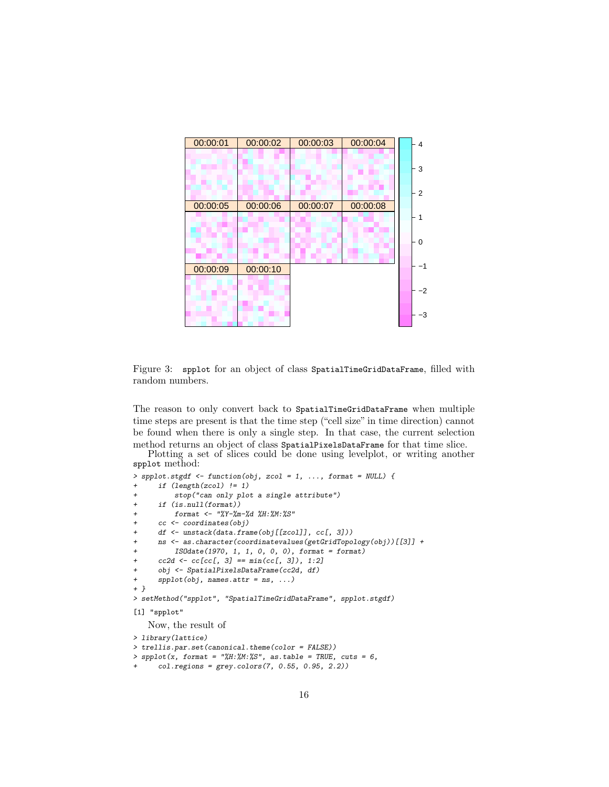

<span id="page-15-0"></span>Figure 3: spplot for an object of class SpatialTimeGridDataFrame, filled with random numbers.

The reason to only convert back to SpatialTimeGridDataFrame when multiple time steps are present is that the time step ("cell size" in time direction) cannot be found when there is only a single step. In that case, the current selection method returns an object of class SpatialPixelsDataFrame for that time slice.

Plotting a set of slices could be done using levelplot, or writing another spplot method:

```
> spplot.stgdf <- function(obj, zcol = 1, ..., format = NULL) {
      if (length(zcol) != 1)
          stop("can only plot a single attribute")
      if (is.null(format))format <- "%Y-%m-%d %H:%M:%S"
      cc <- coordinates(obj)
      df \leftarrow unstack(data.frame(obj[[zcol]], cc[, 3]))
      + ns <- as.character(coordinatevalues(getGridTopology(obj))[[3]] +
          IS0date(1970, 1, 1, 0, 0, 0), format = format)
+ cc2d \leftarrow cc[cc[, 3] == min(cc[, 3]), 1:2]obj <- SpatialPixelsDataFrame(cc2d, df)
+ spplot(obj, names.attr = ns, ...)
+ }
> setMethod("spplot", "SpatialTimeGridDataFrame", spplot.stgdf)
[1] "spplot"
   Now, the result of
> library(lattice)
> trellis.par.set(canonical.theme(color = FALSE))
```

```
> spplot(x, format = "\#H:\#M:\#S", as_table = TRUE, cuts = 6,
```

```
col. regions = grey. colors(7, 0.55, 0.95, 2.2)
```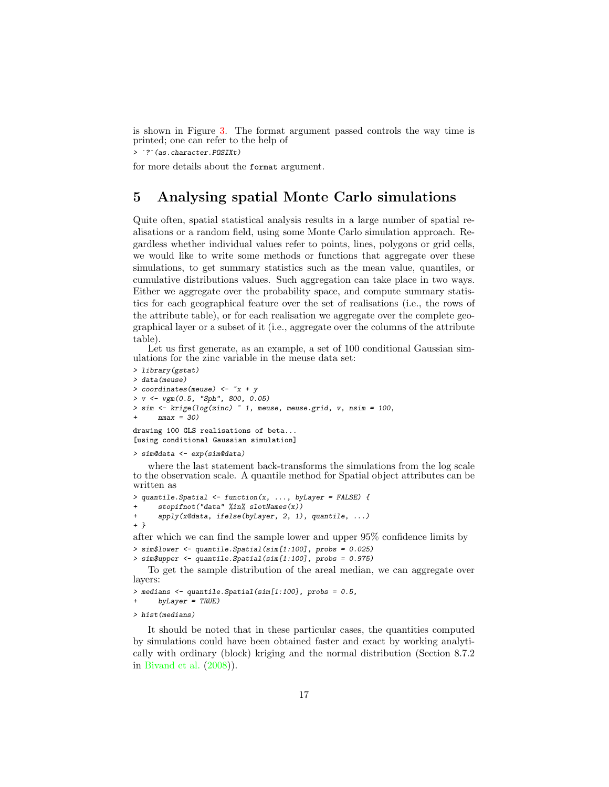is shown in Figure [3.](#page-15-0) The format argument passed controls the way time is printed; one can refer to the help of is shown in Figure 3. T<br>printed; one can refer to<br> $>$   $\frac{?}{?}$  (as.character.POSIXt)

for more details about the format argument.

# <span id="page-16-0"></span>5 Analysing spatial Monte Carlo simulations

Quite often, spatial statistical analysis results in a large number of spatial realisations or a random field, using some Monte Carlo simulation approach. Regardless whether individual values refer to points, lines, polygons or grid cells, we would like to write some methods or functions that aggregate over these simulations, to get summary statistics such as the mean value, quantiles, or cumulative distributions values. Such aggregation can take place in two ways. Either we aggregate over the probability space, and compute summary statistics for each geographical feature over the set of realisations (i.e., the rows of the attribute table), or for each realisation we aggregate over the complete geographical layer or a subset of it (i.e., aggregate over the columns of the attribute table).

Let us first generate, as an example, a set of 100 conditional Gaussian simulations for the zinc variable in the meuse data set:

```
> library(gstat)
> data(meuse)
> coordinates (meuse) <-x + y> v \leftarrow vgm(0.5, "Sph", 800, 0.05)> sim <- krige(log(zinc) ~ 1, meuse, meuse.grid, v, nsim = 100,
      nmax = 30)
drawing 100 GLS realisations of beta...
[using conditional Gaussian simulation]
```

```
> sim@data <- exp(sim@data)
```
where the last statement back-transforms the simulations from the log scale to the observation scale. A quantile method for Spatial object attributes can be written as

```
> quantile.Spatial <- function(x, ..., byLayer = FALSE) {
      stopifnot("data" %in% solotNames(x))+ apply(x@data, ifelse(byLayer, 2, 1), quantile, ...)
+ }
```
after which we can find the sample lower and upper 95% confidence limits by  $>$  sim\$lower  $\leq$  quantile. Spatial(sim[1:100], probs = 0.025)

```
> sim$upper <- quantile.Spatial(sim[1:100], probs = 0.975)
```
To get the sample distribution of the areal median, we can aggregate over layers:

```
> medians <- quantile.Spatial(sim[1:100], probs = 0.5,
      by Layer = TRUE)
```
> hist(medians)

It should be noted that in these particular cases, the quantities computed by simulations could have been obtained faster and exact by working analytically with ordinary (block) kriging and the normal distribution (Section 8.7.2 in [Bivand et al.](#page-19-0) [\(2008\)](#page-19-0)).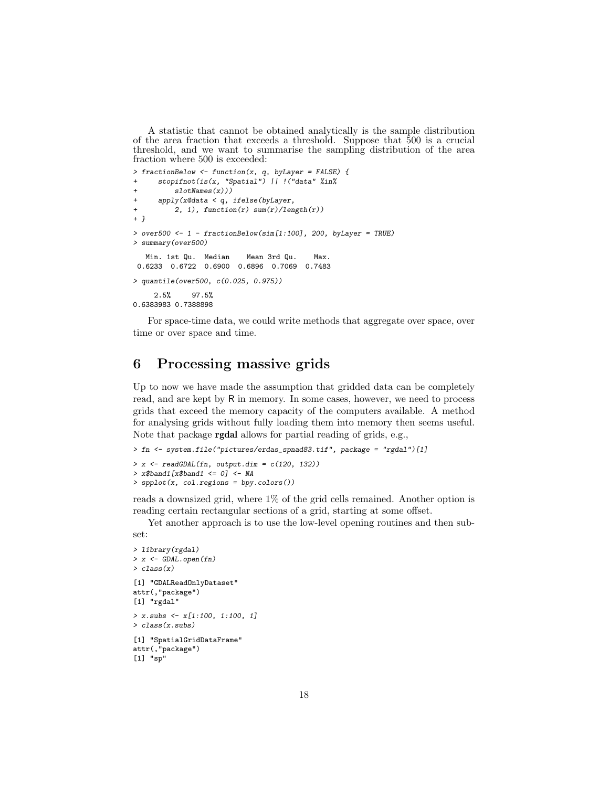A statistic that cannot be obtained analytically is the sample distribution of the area fraction that exceeds a threshold. Suppose that  $\overline{5}00$  is a crucial threshold, and we want to summarise the sampling distribution of the area fraction where 500 is exceeded:

```
> fractionBelow <- function(x, q, byLayer = FALSE) {
     stopifnot(is(x, "Spatial") || !("data" %in%
+ slotNames(x)))
+ apply(x@data < q, ifelse(byLayer,
+ 2, 1), function(r) sum(r)/length(r))
+ }
> over500 <- 1 - fractionBelow(sim[1:100], 200, byLayer = TRUE)
> summary(over500)
  Min. 1st Qu. Median Mean 3rd Qu. Max.
0.6233 0.6722 0.6900 0.6896 0.7069 0.7483
> quantile(over500, c(0.025, 0.975))
    2.5% 97.5%
0.6383983 0.7388898
```
For space-time data, we could write methods that aggregate over space, over time or over space and time.

# <span id="page-17-0"></span>6 Processing massive grids

Up to now we have made the assumption that gridded data can be completely read, and are kept by R in memory. In some cases, however, we need to process grids that exceed the memory capacity of the computers available. A method for analysing grids without fully loading them into memory then seems useful. Note that package rgdal allows for partial reading of grids, e.g.,

```
> fn <- system.file("pictures/erdas_spnad83.tif", package = "rgdal")[1]
> x \leftarrow \text{readGDAL}(\text{fn}, \text{output.dim} = c(120, 132))> x$band1 [x$band1 < = 0] < - NA> spplot(x, col.regions = bpy.colors())
```
reads a downsized grid, where 1% of the grid cells remained. Another option is reading certain rectangular sections of a grid, starting at some offset.

Yet another approach is to use the low-level opening routines and then subset:

```
> library(rgdal)
> x < - GDAL.open(fn)
> class(x)
[1] "GDALReadOnlyDataset"
attr(,"package")
[1] "rgdal"
> x \text{.} subs \leftarrow x[1:100, 1:100, 1]> class(x.subs)
[1] "SpatialGridDataFrame"
attr(,"package")
[1] "sp"
```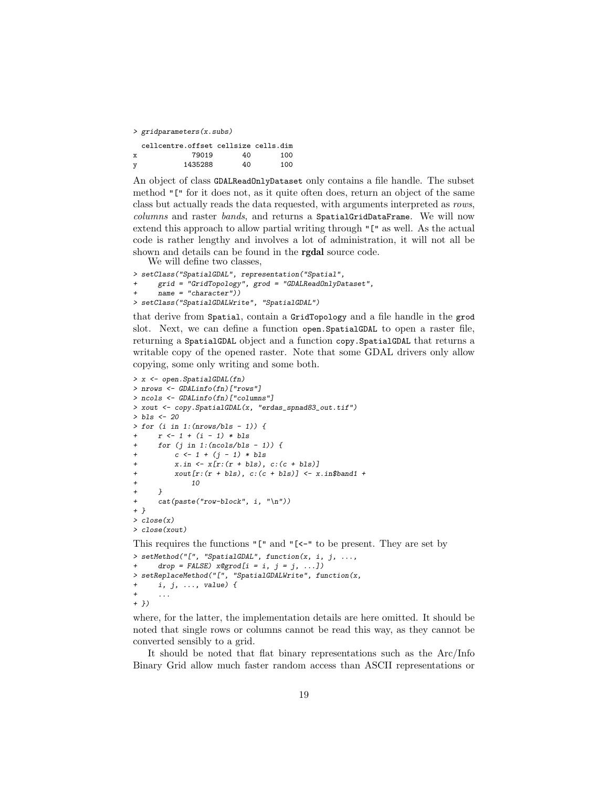> gridparameters(x.subs)

|   | cellcentre.offset cellsize cells.dim |    |     |
|---|--------------------------------------|----|-----|
| x | 79019                                | 40 | 100 |
| y | 1435288                              | 40 | 100 |

An object of class GDALReadOnlyDataset only contains a file handle. The subset method "[" for it does not, as it quite often does, return an object of the same class but actually reads the data requested, with arguments interpreted as rows, columns and raster bands, and returns a SpatialGridDataFrame. We will now extend this approach to allow partial writing through "[" as well. As the actual code is rather lengthy and involves a lot of administration, it will not all be shown and details can be found in the rgdal source code.

We will define two classes,

```
> setClass("SpatialGDAL", representation("Spatial",
      + grid = "GridTopology", grod = "GDALReadOnlyDataset",
      name = "character")> setClass("SpatialGDALWrite", "SpatialGDAL")
```
that derive from Spatial, contain a GridTopology and a file handle in the grod slot. Next, we can define a function open.SpatialGDAL to open a raster file, returning a SpatialGDAL object and a function copy.SpatialGDAL that returns a writable copy of the opened raster. Note that some GDAL drivers only allow copying, some only writing and some both.

```
> x <- open.SpatialGDAL(fn)
> nrows <- GDALinfo(fn)["rows"]
> ncols <- GDALinfo(fn)["columns"]
> xout <- copy.SpatialGDAL(x, "erdas_spnad83_out.tif")
> bls <- 20
> for (i in 1:(nrows/bls - 1)) {
     r \leftarrow 1 + (i - 1) * bls+ for (j in 1:(ncols/bls - 1)) {
          c \leftarrow 1 + (j - 1) * blsx.in \leftarrow x[r:(r + bls), c:(c + bls)]+ xout[r:(r + bls), c:(c + bls)] \leftarrow x.in\$band1 ++ 10
+ }
      cat(paste("row-block", i, "n"))
+ }
> close(x)
> close(xout)
This requires the functions "[" and "[<-" to be present. They are set by
> setMethod("[", "SpatialGDAL", function(x, i, j, ...,
      drop = FALSE) x@grad[i = i, j = j, ...])> setReplaceMethod("[", "SpatialGDALWrite", function(x,
```

```
+ i, j, ..., value) {
+ ...
+ })
```
where, for the latter, the implementation details are here omitted. It should be noted that single rows or columns cannot be read this way, as they cannot be converted sensibly to a grid.

It should be noted that flat binary representations such as the Arc/Info Binary Grid allow much faster random access than ASCII representations or